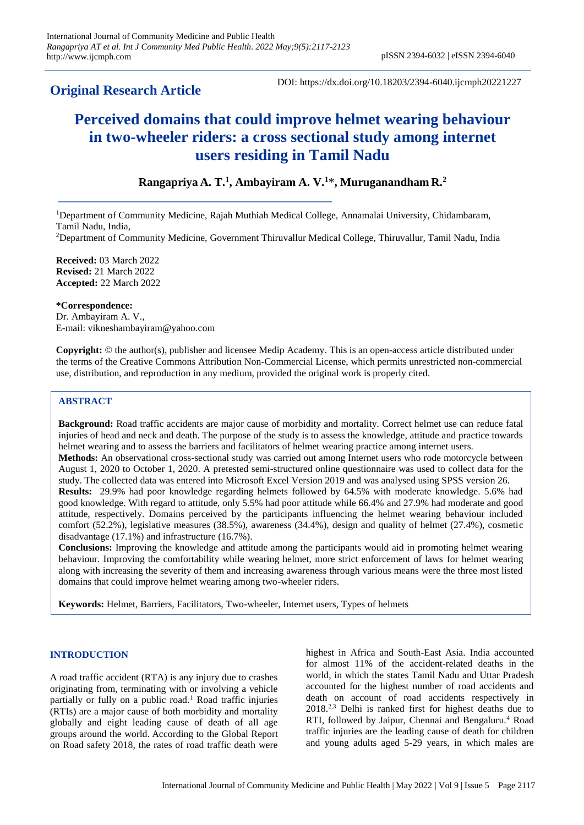# **Original Research Article**

DOI: https://dx.doi.org/10.18203/2394-6040.ijcmph20221227

# **Perceived domains that could improve helmet wearing behaviour in two-wheeler riders: a cross sectional study among internet users residing in Tamil Nadu**

# **Rangapriya A. T.<sup>1</sup> , Ambayiram A. V.<sup>1</sup>**\***, Muruganandham R.<sup>2</sup>**

<sup>1</sup>Department of Community Medicine, Rajah Muthiah Medical College, Annamalai University, Chidambaram, Tamil Nadu, India, <sup>2</sup>Department of Community Medicine, Government Thiruvallur Medical College, Thiruvallur, Tamil Nadu, India

**Received:** 03 March 2022 **Revised:** 21 March 2022 **Accepted:** 22 March 2022

**\*Correspondence:** Dr. Ambayiram A. V., E-mail[: vikneshambayiram@yahoo.com](mailto:vikneshambayiram@yahoo.com)

**Copyright:** © the author(s), publisher and licensee Medip Academy. This is an open-access article distributed under the terms of the Creative Commons Attribution Non-Commercial License, which permits unrestricted non-commercial use, distribution, and reproduction in any medium, provided the original work is properly cited.

# **ABSTRACT**

**Background:** Road traffic accidents are major cause of morbidity and mortality. Correct helmet use can reduce fatal injuries of head and neck and death. The purpose of the study is to assess the knowledge, attitude and practice towards helmet wearing and to assess the barriers and facilitators of helmet wearing practice among internet users. **Methods:** An observational cross-sectional study was carried out among Internet users who rode motorcycle between

August 1, 2020 to October 1, 2020. A pretested semi-structured online questionnaire was used to collect data for the study. The collected data was entered into Microsoft Excel Version 2019 and was analysed using SPSS version 26. **Results:** 29.9% had poor knowledge regarding helmets followed by 64.5% with moderate knowledge. 5.6% had good knowledge. With regard to attitude, only 5.5% had poor attitude while 66.4% and 27.9% had moderate and good attitude, respectively. Domains perceived by the participants influencing the helmet wearing behaviour included comfort (52.2%), legislative measures (38.5%), awareness (34.4%), design and quality of helmet (27.4%), cosmetic

disadvantage (17.1%) and infrastructure (16.7%).

**Conclusions:** Improving the knowledge and attitude among the participants would aid in promoting helmet wearing behaviour. Improving the comfortability while wearing helmet, more strict enforcement of laws for helmet wearing along with increasing the severity of them and increasing awareness through various means were the three most listed domains that could improve helmet wearing among two-wheeler riders.

**Keywords:** Helmet, Barriers, Facilitators, Two-wheeler, Internet users, Types of helmets

#### **INTRODUCTION**

A road traffic accident (RTA) is any injury due to crashes originating from, terminating with or involving a vehicle partially or fully on a public road.<sup>1</sup> Road traffic injuries (RTIs) are a major cause of both morbidity and mortality globally and eight leading cause of death of all age groups around the world. According to the Global Report on Road safety 2018, the rates of road traffic death were highest in Africa and South-East Asia. India accounted for almost 11% of the accident-related deaths in the world, in which the states Tamil Nadu and Uttar Pradesh accounted for the highest number of road accidents and death on account of road accidents respectively in 2018.2,3 Delhi is ranked first for highest deaths due to RTI, followed by Jaipur, Chennai and Bengaluru.<sup>4</sup> Road traffic injuries are the leading cause of death for children and young adults aged 5-29 years, in which males are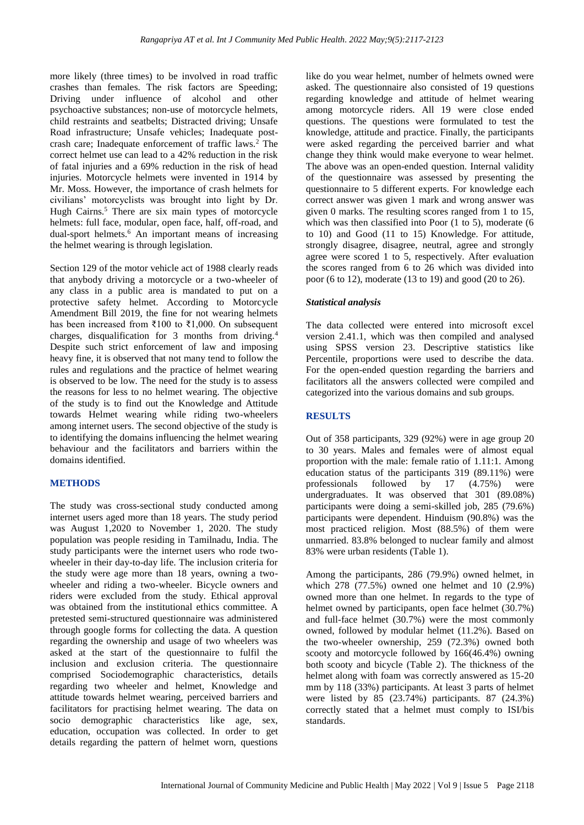more likely (three times) to be involved in road traffic crashes than females. The risk factors are Speeding; Driving under influence of alcohol and other psychoactive substances; non-use of motorcycle helmets, child restraints and seatbelts; Distracted driving; Unsafe Road infrastructure; Unsafe vehicles; Inadequate postcrash care; Inadequate enforcement of traffic laws.<sup>2</sup> The correct helmet use can lead to a 42% reduction in the risk of fatal injuries and a 69% reduction in the risk of head injuries. Motorcycle helmets were invented in 1914 by Mr. Moss. However, the importance of crash helmets for civilians' motorcyclists was brought into light by Dr. Hugh Cairns.<sup>5</sup> There are six main types of motorcycle helmets: full face, modular, open face, half, off-road, and dual-sport helmets.<sup>6</sup> An important means of increasing the helmet wearing is through legislation.

Section 129 of the motor vehicle act of 1988 clearly reads that anybody driving a motorcycle or a two-wheeler of any class in a public area is mandated to put on a protective safety helmet. According to Motorcycle Amendment Bill 2019, the fine for not wearing helmets has been increased from ₹100 to ₹1,000. On subsequent charges, disqualification for 3 months from driving.<sup>4</sup> Despite such strict enforcement of law and imposing heavy fine, it is observed that not many tend to follow the rules and regulations and the practice of helmet wearing is observed to be low. The need for the study is to assess the reasons for less to no helmet wearing. The objective of the study is to find out the Knowledge and Attitude towards Helmet wearing while riding two-wheelers among internet users. The second objective of the study is to identifying the domains influencing the helmet wearing behaviour and the facilitators and barriers within the domains identified.

#### **METHODS**

The study was cross-sectional study conducted among internet users aged more than 18 years. The study period was August 1,2020 to November 1, 2020. The study population was people residing in Tamilnadu, India. The study participants were the internet users who rode twowheeler in their day-to-day life. The inclusion criteria for the study were age more than 18 years, owning a twowheeler and riding a two-wheeler. Bicycle owners and riders were excluded from the study. Ethical approval was obtained from the institutional ethics committee. A pretested semi-structured questionnaire was administered through google forms for collecting the data. A question regarding the ownership and usage of two wheelers was asked at the start of the questionnaire to fulfil the inclusion and exclusion criteria. The questionnaire comprised Sociodemographic characteristics, details regarding two wheeler and helmet, Knowledge and attitude towards helmet wearing, perceived barriers and facilitators for practising helmet wearing. The data on socio demographic characteristics like age, sex, education, occupation was collected. In order to get details regarding the pattern of helmet worn, questions

like do you wear helmet, number of helmets owned were asked. The questionnaire also consisted of 19 questions regarding knowledge and attitude of helmet wearing among motorcycle riders. All 19 were close ended questions. The questions were formulated to test the knowledge, attitude and practice. Finally, the participants were asked regarding the perceived barrier and what change they think would make everyone to wear helmet. The above was an open-ended question. Internal validity of the questionnaire was assessed by presenting the questionnaire to 5 different experts. For knowledge each correct answer was given 1 mark and wrong answer was given 0 marks. The resulting scores ranged from 1 to 15, which was then classified into Poor  $(1 \text{ to } 5)$ , moderate  $(6 \text{ to } 5)$ to 10) and Good (11 to 15) Knowledge. For attitude, strongly disagree, disagree, neutral, agree and strongly agree were scored 1 to 5, respectively. After evaluation the scores ranged from 6 to 26 which was divided into poor (6 to 12), moderate (13 to 19) and good (20 to 26).

# *Statistical analysis*

The data collected were entered into microsoft excel version 2.41.1, which was then compiled and analysed using SPSS version 23. Descriptive statistics like Percentile, proportions were used to describe the data. For the open-ended question regarding the barriers and facilitators all the answers collected were compiled and categorized into the various domains and sub groups.

## **RESULTS**

Out of 358 participants, 329 (92%) were in age group 20 to 30 years. Males and females were of almost equal proportion with the male: female ratio of 1.11:1. Among education status of the participants 319 (89.11%) were professionals followed by 17 (4.75%) were undergraduates. It was observed that 301 (89.08%) participants were doing a semi-skilled job, 285 (79.6%) participants were dependent. Hinduism (90.8%) was the most practiced religion. Most (88.5%) of them were unmarried. 83.8% belonged to nuclear family and almost 83% were urban residents (Table 1).

Among the participants, 286 (79.9%) owned helmet, in which 278 (77.5%) owned one helmet and 10 (2.9%) owned more than one helmet. In regards to the type of helmet owned by participants, open face helmet (30.7%) and full-face helmet (30.7%) were the most commonly owned, followed by modular helmet (11.2%). Based on the two-wheeler ownership, 259 (72.3%) owned both scooty and motorcycle followed by 166(46.4%) owning both scooty and bicycle (Table 2). The thickness of the helmet along with foam was correctly answered as 15-20 mm by 118 (33%) participants. At least 3 parts of helmet were listed by 85 (23.74%) participants. 87 (24.3%) correctly stated that a helmet must comply to ISI/bis standards.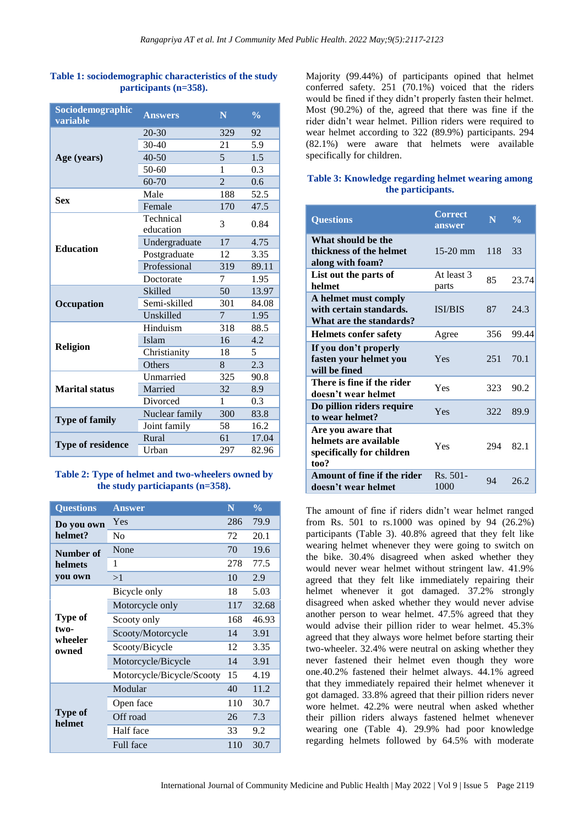| Sociodemographic<br>variable | <b>Answers</b> | N              | $\frac{0}{0}$ |
|------------------------------|----------------|----------------|---------------|
|                              | $20 - 30$      | 329            | 92            |
| Age (years)                  | 30-40          | 21             | 5.9           |
|                              | $40 - 50$      | 5              | 1.5           |
|                              | 50-60          | 1              | 0.3           |
|                              | 60-70          | $\overline{2}$ | 0.6           |
| <b>Sex</b>                   | Male           | 188            | 52.5          |
|                              | Female         | 170            | 47.5          |
|                              | Technical      | 3              | 0.84          |
|                              | education      |                |               |
| <b>Education</b>             | Undergraduate  | 17             | 4.75          |
|                              | Postgraduate   | 12             | 3.35          |
|                              | Professional   | 319            | 89.11         |
|                              | Doctorate      | 7              | 1.95          |
|                              | Skilled        | 50             | 13.97         |
| Occupation                   | Semi-skilled   | 301            | 84.08         |
|                              | Unskilled      | $\overline{7}$ | 1.95          |
|                              | Hinduism       | 318            | 88.5          |
|                              | Islam          | 16             | 4.2           |
| Religion                     | Christianity   | 18             | 5             |
|                              | Others         | 8              | 2.3           |
|                              | Unmarried      | 325            | 90.8          |
| <b>Marital status</b>        | Married        | 32             | 8.9           |
|                              | Divorced       | 1              | 0.3           |
|                              | Nuclear family | 300            | 83.8          |
| <b>Type of family</b>        | Joint family   | 58             | 16.2          |
|                              | Rural          | 61             | 17.04         |
| <b>Type of residence</b>     | Urban          | 297            | 82.96         |

#### **Table 1: sociodemographic characteristics of the study participants (n=358).**

#### **Table 2: Type of helmet and two-wheelers owned by the study particiapants (n=358).**

| <b>Questions</b>  | <b>Answer</b>             | N   | $\frac{0}{0}$ |  |
|-------------------|---------------------------|-----|---------------|--|
| Do you own        | Yes                       | 286 | 79.9          |  |
| helmet?           | No                        | 72  | 20.1          |  |
| Number of         | None                      | 70  | 19.6          |  |
| helmets           | 1                         | 278 | 77.5          |  |
| you own           | >1                        | 10  | 2.9           |  |
|                   | Bicycle only              | 18  | 5.03          |  |
|                   | Motorcycle only           |     | 32.68         |  |
| Type of           | Scooty only               | 168 | 46.93         |  |
| two-<br>wheeler   | Scooty/Motorcycle         | 14  | 3.91          |  |
| owned             | Scooty/Bicycle            | 12  | 3.35          |  |
|                   | Motorcycle/Bicycle        | 14  | 3.91          |  |
|                   | Motorcycle/Bicycle/Scooty | 15  | 4.19          |  |
|                   | Modular                   | 40  | 11.2          |  |
|                   | Open face                 | 110 | 30.7          |  |
| Type of<br>helmet | Off road                  | 26  | 7.3           |  |
|                   | Half face                 | 33  | 9.2           |  |
|                   | <b>Full face</b>          | 110 | 30.7          |  |

Majority (99.44%) of participants opined that helmet conferred safety. 251 (70.1%) voiced that the riders would be fined if they didn't properly fasten their helmet. Most (90.2%) of the, agreed that there was fine if the rider didn't wear helmet. Pillion riders were required to wear helmet according to 322 (89.9%) participants. 294 (82.1%) were aware that helmets were available specifically for children.

# **Table 3: Knowledge regarding helmet wearing among the participants.**

| <b>Questions</b>                                                                 | <b>Correct</b><br>answer | N   | $\frac{0}{0}$ |
|----------------------------------------------------------------------------------|--------------------------|-----|---------------|
| What should be the<br>thickness of the helmet<br>along with foam?                | $15-20$ mm               | 118 | 33            |
| List out the parts of<br>helmet                                                  | At least 3<br>parts      | 85  | 23.74         |
| A helmet must comply<br>with certain standards.<br>What are the standards?       | ISI/BIS                  | 87  | 24.3          |
| <b>Helmets confer safety</b>                                                     | Agree                    | 356 | 99.44         |
| If you don't properly<br>fasten your helmet you<br>will be fined                 | Yes                      | 251 | 70.1          |
| There is fine if the rider<br>doesn't wear helmet                                | Yes                      | 323 | 90.2          |
| Do pillion riders require<br>to wear helmet?                                     | Yes                      | 322 | 89.9          |
| Are you aware that<br>helmets are available<br>specifically for children<br>too? | Yes                      | 294 | 82.1          |
| Amount of fine if the rider<br>doesn't wear helmet                               | Rs. 501-<br>1000         | 94  | 26.2          |

The amount of fine if riders didn't wear helmet ranged from Rs. 501 to rs.1000 was opined by 94 (26.2%) participants (Table 3). 40.8% agreed that they felt like wearing helmet whenever they were going to switch on the bike. 30.4% disagreed when asked whether they would never wear helmet without stringent law. 41.9% agreed that they felt like immediately repairing their helmet whenever it got damaged. 37.2% strongly disagreed when asked whether they would never advise another person to wear helmet. 47.5% agreed that they would advise their pillion rider to wear helmet. 45.3% agreed that they always wore helmet before starting their two-wheeler. 32.4% were neutral on asking whether they never fastened their helmet even though they wore one.40.2% fastened their helmet always. 44.1% agreed that they immediately repaired their helmet whenever it got damaged. 33.8% agreed that their pillion riders never wore helmet. 42.2% were neutral when asked whether their pillion riders always fastened helmet whenever wearing one (Table 4). 29.9% had poor knowledge regarding helmets followed by 64.5% with moderate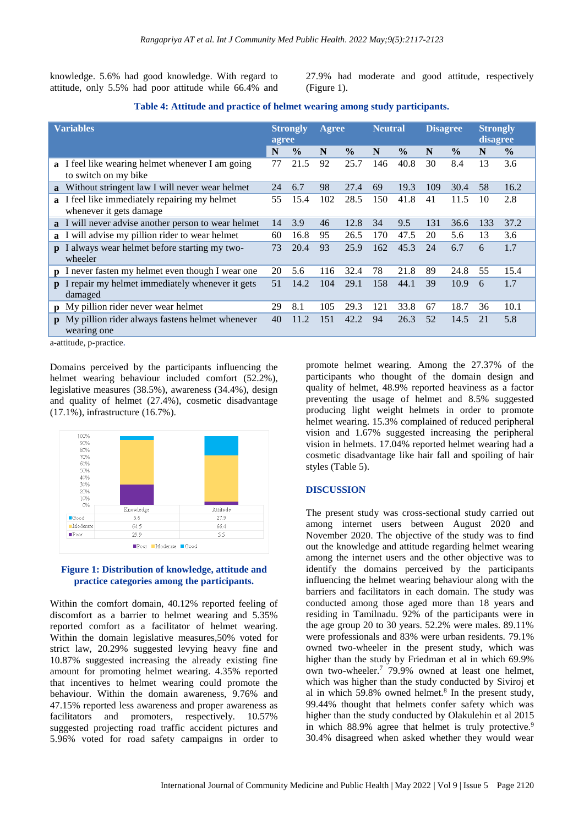knowledge. 5.6% had good knowledge. With regard to attitude, only 5.5% had poor attitude while 66.4% and 27.9% had moderate and good attitude, respectively (Figure 1).

| Table 4: Attitude and practice of helmet wearing among study participants. |  |  |  |  |
|----------------------------------------------------------------------------|--|--|--|--|
|----------------------------------------------------------------------------|--|--|--|--|

| <b>Variables</b> |                                                                                  | <b>Strongly</b><br>agree |               | Agree | <b>Neutral</b> |     | <b>Disagree</b> |     | <b>Strongly</b><br>disagree |     |               |
|------------------|----------------------------------------------------------------------------------|--------------------------|---------------|-------|----------------|-----|-----------------|-----|-----------------------------|-----|---------------|
|                  |                                                                                  | N                        | $\frac{0}{0}$ | N     | $\frac{0}{0}$  | N   | $\frac{0}{0}$   | N   | $\frac{0}{0}$               | N   | $\frac{0}{0}$ |
|                  | <b>a</b> I feel like wearing helmet whenever I am going<br>to switch on my bike  | 77                       | 21.5          | 92    | 25.7           | 146 | 40.8            | 30  | 8.4                         | 13  | 3.6           |
| $\mathbf{a}$     | Without stringent law I will never wear helmet                                   | 24                       | 6.7           | 98    | 27.4           | 69  | 19.3            | 109 | 30.4                        | 58  | 16.2          |
|                  | <b>a</b> I feel like immediately repairing my helmet<br>whenever it gets damage. | 55                       | 15.4          | 102   | 28.5           | 150 | 41.8            | 41  | 11.5                        | 10  | 2.8           |
|                  | a I will never advise another person to wear helmet                              | 14                       | 3.9           | 46    | 12.8           | 34  | 9.5             | 131 | 36.6                        | 133 | 37.2          |
|                  | <b>a</b> I will advise my pillion rider to wear helmet                           | 60                       | 16.8          | 95    | 26.5           | 170 | 47.5            | 20  | 5.6                         | 13  | 3.6           |
| $\mathbf{D}$     | always wear helmet before starting my two-<br>wheeler                            | 73                       | 20.4          | 93    | 25.9           | 162 | 45.3            | 24  | 6.7                         | 6   | 1.7           |
|                  | <b>p</b> I never fasten my helmet even though I wear one                         | 20                       | 5.6           | 116   | 32.4           | 78  | 21.8            | 89  | 24.8                        | 55  | 15.4          |
| $\mathbf{D}$     | I repair my helmet immediately whenever it gets<br>damaged                       | 51                       | 14.2          | 104   | 29.1           | 158 | 44.1            | 39  | 10.9                        | 6   | 1.7           |
| $\mathbf{p}$     | My pillion rider never wear helmet                                               | 29                       | 8.1           | 105   | 29.3           | 121 | 33.8            | 67  | 18.7                        | 36  | 10.1          |
| $\mathbf{p}$     | My pillion rider always fastens helmet whenever<br>wearing one                   | 40                       | 11.2          | 151   | 42.2           | 94  | 26.3            | 52  | 14.5                        | 21  | 5.8           |

a-attitude, p-practice.

Domains perceived by the participants influencing the helmet wearing behaviour included comfort (52.2%), legislative measures (38.5%), awareness (34.4%), design and quality of helmet (27.4%), cosmetic disadvantage (17.1%), infrastructure (16.7%).



#### **Figure 1: Distribution of knowledge, attitude and practice categories among the participants.**

Within the comfort domain, 40.12% reported feeling of discomfort as a barrier to helmet wearing and 5.35% reported comfort as a facilitator of helmet wearing. Within the domain legislative measures,50% voted for strict law, 20.29% suggested levying heavy fine and 10.87% suggested increasing the already existing fine amount for promoting helmet wearing. 4.35% reported that incentives to helmet wearing could promote the behaviour. Within the domain awareness, 9.76% and 47.15% reported less awareness and proper awareness as facilitators and promoters, respectively.  $10.57\%$ suggested projecting road traffic accident pictures and 5.96% voted for road safety campaigns in order to

promote helmet wearing. Among the 27.37% of the participants who thought of the domain design and quality of helmet, 48.9% reported heaviness as a factor preventing the usage of helmet and 8.5% suggested producing light weight helmets in order to promote helmet wearing. 15.3% complained of reduced peripheral vision and 1.67% suggested increasing the peripheral vision in helmets. 17.04% reported helmet wearing had a cosmetic disadvantage like hair fall and spoiling of hair styles (Table 5).

#### **DISCUSSION**

The present study was cross-sectional study carried out among internet users between August 2020 and November 2020. The objective of the study was to find out the knowledge and attitude regarding helmet wearing among the internet users and the other objective was to identify the domains perceived by the participants influencing the helmet wearing behaviour along with the barriers and facilitators in each domain. The study was conducted among those aged more than 18 years and residing in Tamilnadu. 92% of the participants were in the age group 20 to 30 years. 52.2% were males. 89.11% were professionals and 83% were urban residents. 79.1% owned two-wheeler in the present study, which was higher than the study by Friedman et al in which 69.9% own two-wheeler.<sup>7</sup> 79.9% owned at least one helmet, which was higher than the study conducted by Siviroj et al in which  $59.8\%$  owned helmet.<sup>8</sup> In the present study, 99.44% thought that helmets confer safety which was higher than the study conducted by Olakulehin et al 2015 in which  $88.9\%$  agree that helmet is truly protective.<sup>9</sup> 30.4% disagreed when asked whether they would wear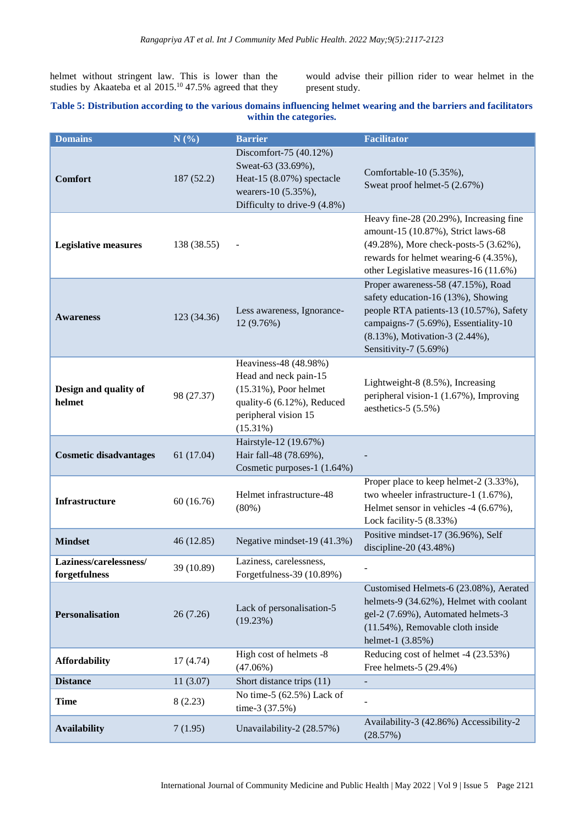helmet without stringent law. This is lower than the studies by Akaateba et al 2015.<sup>10</sup> 47.5% agreed that they would advise their pillion rider to wear helmet in the present study.

## **Table 5: Distribution according to the various domains influencing helmet wearing and the barriers and facilitators within the categories.**

| <b>Domains</b>                          | N(%)        | <b>Barrier</b>                                                                                                                                   | <b>Facilitator</b>                                                                                                                                                                                                     |
|-----------------------------------------|-------------|--------------------------------------------------------------------------------------------------------------------------------------------------|------------------------------------------------------------------------------------------------------------------------------------------------------------------------------------------------------------------------|
| <b>Comfort</b>                          | 187 (52.2)  | Discomfort-75 (40.12%)<br>Sweat-63 (33.69%),<br>Heat-15 (8.07%) spectacle<br>wearers-10 (5.35%),<br>Difficulty to drive-9 (4.8%)                 | Comfortable-10 (5.35%),<br>Sweat proof helmet-5 (2.67%)                                                                                                                                                                |
| <b>Legislative measures</b>             | 138 (38.55) |                                                                                                                                                  | Heavy fine-28 (20.29%), Increasing fine<br>amount-15 (10.87%), Strict laws-68<br>(49.28%), More check-posts-5 (3.62%),<br>rewards for helmet wearing-6 (4.35%),<br>other Legislative measures-16 (11.6%)               |
| <b>Awareness</b>                        | 123 (34.36) | Less awareness, Ignorance-<br>12 (9.76%)                                                                                                         | Proper awareness-58 (47.15%), Road<br>safety education-16 (13%), Showing<br>people RTA patients-13 (10.57%), Safety<br>campaigns-7 (5.69%), Essentiality-10<br>(8.13%), Motivation-3 (2.44%),<br>Sensitivity-7 (5.69%) |
| Design and quality of<br>helmet         | 98 (27.37)  | Heaviness-48 (48.98%)<br>Head and neck pain-15<br>$(15.31\%)$ , Poor helmet<br>quality-6 (6.12%), Reduced<br>peripheral vision 15<br>$(15.31\%)$ | Lightweight-8 (8.5%), Increasing<br>peripheral vision-1 (1.67%), Improving<br>aesthetics- $5(5.5\%)$                                                                                                                   |
| <b>Cosmetic disadvantages</b>           | 61 (17.04)  | Hairstyle-12 (19.67%)<br>Hair fall-48 (78.69%),<br>Cosmetic purposes-1 (1.64%)                                                                   |                                                                                                                                                                                                                        |
| <b>Infrastructure</b>                   | 60(16.76)   | Helmet infrastructure-48<br>(80%)                                                                                                                | Proper place to keep helmet-2 (3.33%),<br>two wheeler infrastructure-1 (1.67%),<br>Helmet sensor in vehicles -4 (6.67%),<br>Lock facility-5 $(8.33%)$                                                                  |
| <b>Mindset</b>                          | 46 (12.85)  | Negative mindset-19 (41.3%)                                                                                                                      | Positive mindset-17 (36.96%), Self<br>discipline-20 (43.48%)                                                                                                                                                           |
| Laziness/carelessness/<br>forgetfulness | 39 (10.89)  | Laziness, carelessness,<br>Forgetfulness-39 (10.89%)                                                                                             |                                                                                                                                                                                                                        |
| <b>Personalisation</b>                  | 26 (7.26)   | Lack of personalisation-5<br>(19.23%)                                                                                                            | Customised Helmets-6 (23.08%), Aerated<br>helmets-9 (34.62%), Helmet with coolant<br>gel-2 (7.69%), Automated helmets-3<br>(11.54%), Removable cloth inside<br>helmet-1 (3.85%)                                        |
| <b>Affordability</b>                    | 17(4.74)    | High cost of helmets -8<br>$(47.06\%)$                                                                                                           | Reducing cost of helmet -4 (23.53%)<br>Free helmets- $5(29.4%)$                                                                                                                                                        |
| <b>Distance</b>                         | 11(3.07)    | Short distance trips (11)                                                                                                                        |                                                                                                                                                                                                                        |
| <b>Time</b>                             | 8(2.23)     | No time-5 (62.5%) Lack of<br>time-3 (37.5%)                                                                                                      |                                                                                                                                                                                                                        |
| <b>Availability</b>                     | 7(1.95)     | Unavailability-2 (28.57%)                                                                                                                        | Availability-3 (42.86%) Accessibility-2<br>(28.57%)                                                                                                                                                                    |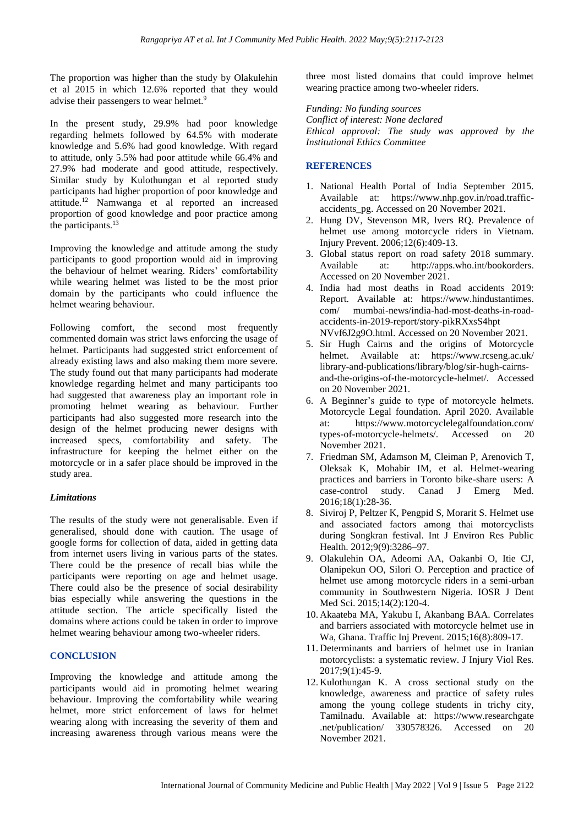The proportion was higher than the study by Olakulehin et al 2015 in which 12.6% reported that they would advise their passengers to wear helmet.<sup>9</sup>

In the present study, 29.9% had poor knowledge regarding helmets followed by 64.5% with moderate knowledge and 5.6% had good knowledge. With regard to attitude, only 5.5% had poor attitude while 66.4% and 27.9% had moderate and good attitude, respectively. Similar study by Kulothungan et al reported study participants had higher proportion of poor knowledge and attitude. <sup>12</sup> Namwanga et al reported an increased proportion of good knowledge and poor practice among the participants. 13

Improving the knowledge and attitude among the study participants to good proportion would aid in improving the behaviour of helmet wearing. Riders' comfortability while wearing helmet was listed to be the most prior domain by the participants who could influence the helmet wearing behaviour.

Following comfort, the second most frequently commented domain was strict laws enforcing the usage of helmet. Participants had suggested strict enforcement of already existing laws and also making them more severe. The study found out that many participants had moderate knowledge regarding helmet and many participants too had suggested that awareness play an important role in promoting helmet wearing as behaviour. Further participants had also suggested more research into the design of the helmet producing newer designs with increased specs, comfortability and safety. The infrastructure for keeping the helmet either on the motorcycle or in a safer place should be improved in the study area.

#### *Limitations*

The results of the study were not generalisable. Even if generalised, should done with caution. The usage of google forms for collection of data, aided in getting data from internet users living in various parts of the states. There could be the presence of recall bias while the participants were reporting on age and helmet usage. There could also be the presence of social desirability bias especially while answering the questions in the attitude section. The article specifically listed the domains where actions could be taken in order to improve helmet wearing behaviour among two-wheeler riders.

# **CONCLUSION**

Improving the knowledge and attitude among the participants would aid in promoting helmet wearing behaviour. Improving the comfortability while wearing helmet, more strict enforcement of laws for helmet wearing along with increasing the severity of them and increasing awareness through various means were the three most listed domains that could improve helmet wearing practice among two-wheeler riders.

*Funding: No funding sources Conflict of interest: None declared Ethical approval: The study was approved by the Institutional Ethics Committee*

# **REFERENCES**

- 1. National Health Portal of India September 2015. Available at: [https://www.nhp.gov.in/road.traffic](https://www.nhp.gov.in/road.traffic-accidents_pg)[accidents\\_pg.](https://www.nhp.gov.in/road.traffic-accidents_pg) Accessed on 20 November 2021.
- 2. Hung DV, Stevenson MR, Ivers RQ. Prevalence of helmet use among motorcycle riders in Vietnam. Injury Prevent. 2006;12(6):409-13.
- 3. Global status report on road safety 2018 summary. Available at: [http://apps.who.int/bookorders.](http://apps.who.int/bookorders) Accessed on 20 November 2021.
- 4. India had most deaths in Road accidents 2019: Report. Available at: https://www.hindustantimes. com/ mumbai-news/india-had-most-deaths-in-roadaccidents-in-2019-report/story-pikRXxsS4hpt NVvf6J2g9O.html. Accessed on 20 November 2021.
- 5. Sir Hugh Cairns and the origins of Motorcycle helmet. Available at: [https://www.rcseng.ac.uk/](https://www.rcseng.ac.uk/%20library-and-publications/library/blog/sir-hugh-cairns-and-the-origins-of-the-motorcycle-helmet/)  [library-and-publications/library/blog/sir-hugh-cairns](https://www.rcseng.ac.uk/%20library-and-publications/library/blog/sir-hugh-cairns-and-the-origins-of-the-motorcycle-helmet/)[and-the-origins-of-the-motorcycle-helmet/.](https://www.rcseng.ac.uk/%20library-and-publications/library/blog/sir-hugh-cairns-and-the-origins-of-the-motorcycle-helmet/) Accessed on 20 November 2021.
- 6. A Beginner's guide to type of motorcycle helmets. Motorcycle Legal foundation. April 2020. Available at: [https://www.motorcyclelegalfoundation.com/](https://www.motorcyclelegalfoundation.com/%20types-of-motorcycle-helmets/)  [types-of-motorcycle-helmets/.](https://www.motorcyclelegalfoundation.com/%20types-of-motorcycle-helmets/) Accessed on 20 November 2021.
- 7. Friedman SM, Adamson M, Cleiman P, Arenovich T, Oleksak K, Mohabir IM, et al. Helmet-wearing practices and barriers in Toronto bike-share users: A case-control study. Canad J Emerg Med. 2016;18(1):28-36.
- 8. Siviroj P, Peltzer K, Pengpid S, Morarit S. Helmet use and associated factors among thai motorcyclists during Songkran festival. Int J Environ Res Public Health. 2012;9(9):3286–97.
- 9. Olakulehin OA, Adeomi AA, Oakanbi O, Itie CJ, Olanipekun OO, Silori O. Perception and practice of helmet use among motorcycle riders in a semi-urban community in Southwestern Nigeria. IOSR J Dent Med Sci. 2015;14(2):120-4.
- 10. Akaateba MA, Yakubu I, Akanbang BAA. Correlates and barriers associated with motorcycle helmet use in Wa, Ghana. Traffic Inj Prevent. 2015;16(8):809-17.
- 11. Determinants and barriers of helmet use in Iranian motorcyclists: a systematic review. J Injury Viol Res. 2017;9(1):45-9.
- 12. Kulothungan K. A cross sectional study on the knowledge, awareness and practice of safety rules among the young college students in trichy city, Tamilnadu. Available at: [https://www.researchgate](https://www.researchgate/) .net/publication/ 330578326. Accessed on 20 November 2021.